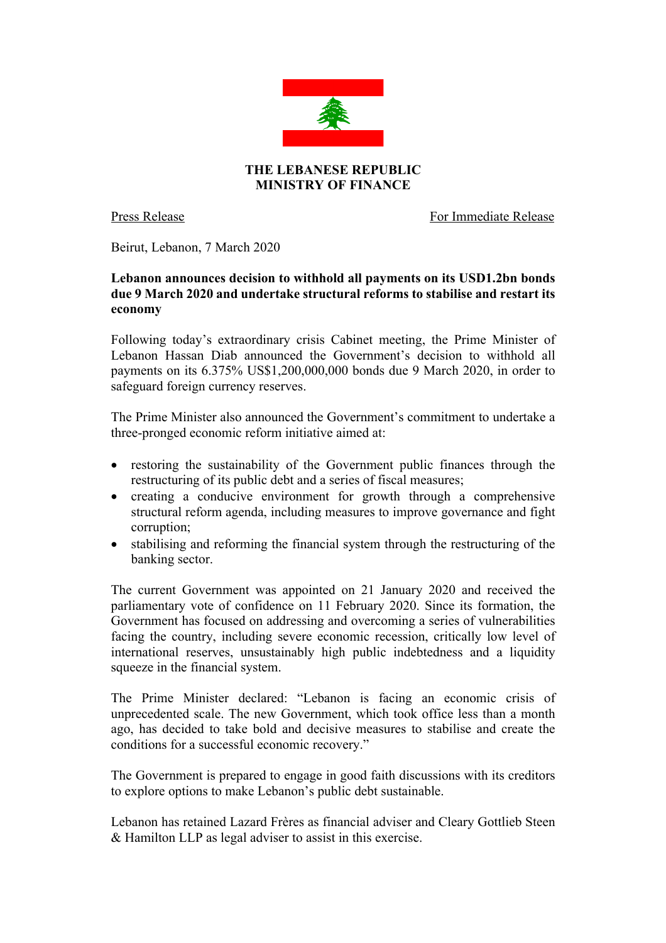

Press Release For Immediate Release

Beirut, Lebanon, 7 March 2020

## **Lebanon announces decision to withhold all payments on its USD1.2bn bonds due 9 March 2020 and undertake structural reforms to stabilise and restart its economy**

Following today's extraordinary crisis Cabinet meeting, the Prime Minister of Lebanon Hassan Diab announced the Government's decision to withhold all payments on its 6.375% US\$1,200,000,000 bonds due 9 March 2020, in order to safeguard foreign currency reserves.

The Prime Minister also announced the Government's commitment to undertake a three-pronged economic reform initiative aimed at:

- restoring the sustainability of the Government public finances through the restructuring of its public debt and a series of fiscal measures;
- creating a conducive environment for growth through a comprehensive structural reform agenda, including measures to improve governance and fight corruption;
- stabilising and reforming the financial system through the restructuring of the banking sector.

The current Government was appointed on 21 January 2020 and received the parliamentary vote of confidence on 11 February 2020. Since its formation, the Government has focused on addressing and overcoming a series of vulnerabilities facing the country, including severe economic recession, critically low level of international reserves, unsustainably high public indebtedness and a liquidity squeeze in the financial system.

The Prime Minister declared: "Lebanon is facing an economic crisis of unprecedented scale. The new Government, which took office less than a month ago, has decided to take bold and decisive measures to stabilise and create the conditions for a successful economic recovery."

The Government is prepared to engage in good faith discussions with its creditors to explore options to make Lebanon's public debt sustainable.

Lebanon has retained Lazard Frères as financial adviser and Cleary Gottlieb Steen & Hamilton LLP as legal adviser to assist in this exercise.